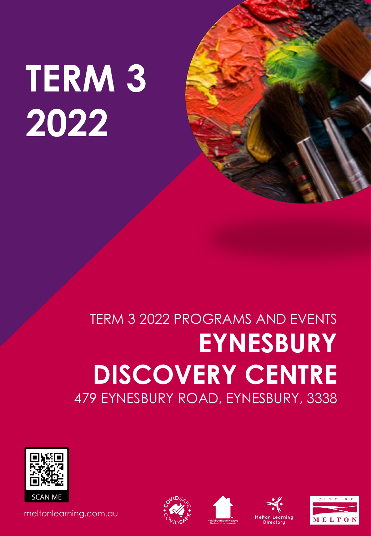# **TERM 3 2022**

# TERM 3 2022 PROGRAMS AND EVENTS **EYNESBURY DISCOVERY CENTRE** 479 EYNESBURY ROAD, EYNESBURY, 3338



meltonlearning.com.au







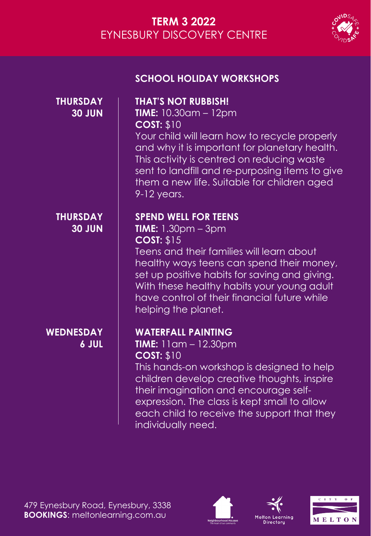# **TERM 3 2022** EYNESBURY DISCOVERY CENTRE



#### **SCHOOL HOLIDAY WORKSHOPS**

| <b>THURSDAY</b><br><b>30 JUN</b> | <b>THAT'S NOT RUBBISH!</b><br><b>TIME:</b> $10.30$ am $- 12$ pm<br><b>COST: \$10</b><br>Your child will learn how to recycle properly<br>and why it is important for planetary health.<br>This activity is centred on reducing waste<br>sent to landfill and re-purposing items to give<br>them a new life. Suitable for children aged<br>$9-12$ years. |
|----------------------------------|---------------------------------------------------------------------------------------------------------------------------------------------------------------------------------------------------------------------------------------------------------------------------------------------------------------------------------------------------------|
| <b>THURSDAY</b><br><b>30 JUN</b> | <b>SPEND WELL FOR TEENS</b><br><b>TIME:</b> 1.30 $pm - 3pm$<br><b>COST: \$15</b><br>Teens and their families will learn about<br>healthy ways teens can spend their money,<br>set up positive habits for saving and giving.<br>With these healthy habits your young adult<br>have control of their financial future while<br>helping the planet.        |
| WEDNESDAY<br>6 JUL               | <b>WATERFALL PAINTING</b><br><b>TIME:</b> $11$ am $- 12.30$ pm<br><b>COST: \$10</b><br>This hands-on workshop is designed to help<br>children develop creative thoughts, inspire<br>their imagination and encourage self-<br>expression. The class is kept small to allow<br>each child to receive the support that they                                |

individually need.

479 Eynesbury Road, Eynesbury, 3338 **BOOKINGS**: meltonlearning.com.au





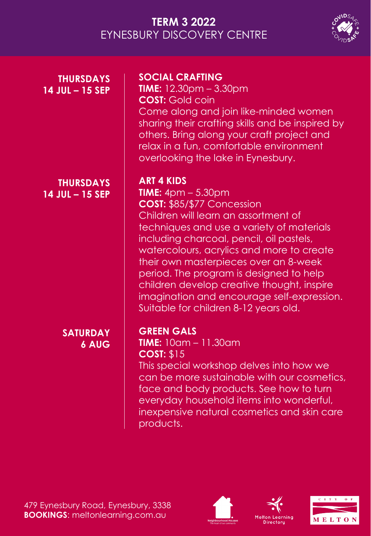### **TERM 3 2022** EYNESBURY DISCOVERY CENTRE



| <b>THURSDAYS</b><br>14 JUL - 15 SEP | <b>SOCIAL CRAFTING</b><br><b>TIME:</b> 12.30pm $-$ 3.30pm<br><b>COST: Gold coin</b><br>Come along and join like-minded women<br>sharing their crafting skills and be inspired by<br>others. Bring along your craft project and<br>relax in a fun, comfortable environment<br>overlooking the lake in Eynesbury.                                                                                                                                                                              |
|-------------------------------------|----------------------------------------------------------------------------------------------------------------------------------------------------------------------------------------------------------------------------------------------------------------------------------------------------------------------------------------------------------------------------------------------------------------------------------------------------------------------------------------------|
| <b>THURSDAYS</b><br>14 JUL - 15 SEP | <b>ART 4 KIDS</b><br><b>TIME:</b> $4pm - 5.30pm$<br><b>COST: \$85/\$77 Concession</b><br>Children will learn an assortment of<br>techniques and use a variety of materials<br>including charcoal, pencil, oil pastels,<br>watercolours, acrylics and more to create<br>their own masterpieces over an 8-week<br>period. The program is designed to help<br>children develop creative thought, inspire<br>imagination and encourage self-expression.<br>Suitable for children 8-12 years old. |
| <b>SATURDAY</b><br><b>6 AUG</b>     | <b>GREEN GALS</b><br><b>TIME:</b> $10am - 11.30am$<br><b>COST: \$15</b><br>This special workshop delves into how we<br>can be more sustainable with our cosmetics,<br>face and body products. See how to turn<br>everyday household items into wonderful,<br>inexpensive natural cosmetics and skin care<br>products.                                                                                                                                                                        |





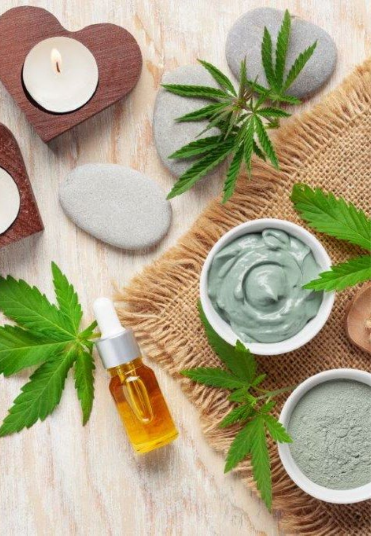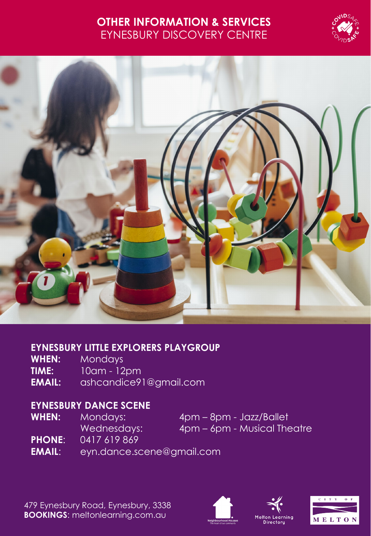# **OTHER INFORMATION & SERVICES** EYNESBURY DISCOVERY CENTRE





#### **EYNESBURY LITTLE EXPLORERS PLAYGROUP**

**WHEN:** Mondays **TIME:** 10am - 12pm **EMAIL:** ashcandice91@gmail.com

#### **EYNESBURY DANCE SCENE**

**WHEN:** Mondays: 4pm – 8pm - Jazz/Ballet Wednesdays: 4pm – 6pm - Musical Theatre

**PHONE**: 0417 619 869

**EMAIL**: eyn.dance.scene@gmail.com

479 Eynesbury Road, Eynesbury, 3338 **BOOKINGS**: meltonlearning.com.au